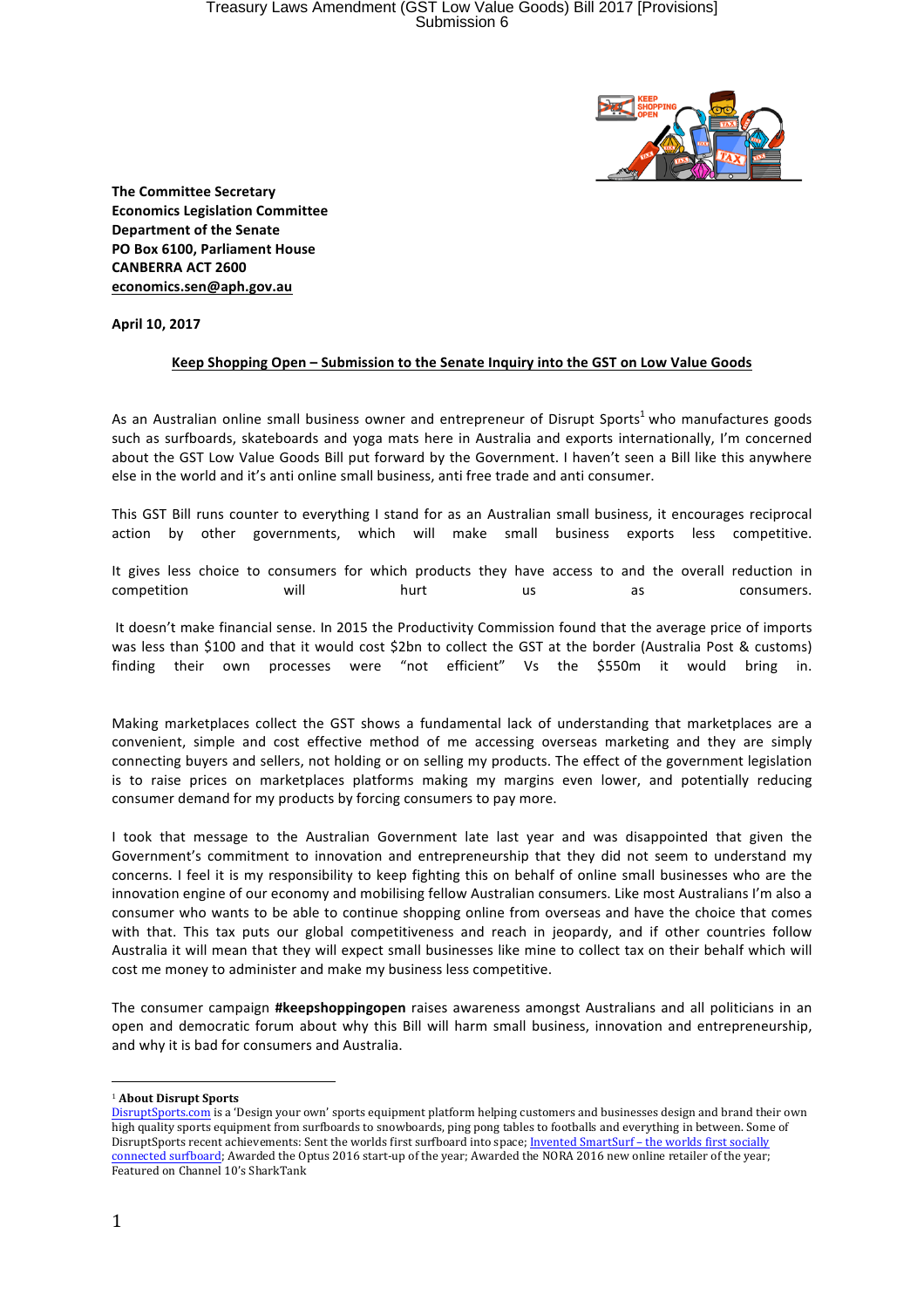

**The Committee Secretary Economics Legislation Committee Department of the Senate PO Box 6100. Parliament House CANBERRA ACT 2600 economics.sen@aph.gov.au**

**April 10, 2017**

## Keep Shopping Open - Submission to the Senate Inquiry into the GST on Low Value Goods

As an Australian online small business owner and entrepreneur of Disrupt Sports<sup>1</sup> who manufactures goods such as surfboards, skateboards and yoga mats here in Australia and exports internationally, I'm concerned about the GST Low Value Goods Bill put forward by the Government. I haven't seen a Bill like this anywhere else in the world and it's anti online small business, anti free trade and anti consumer.

This GST Bill runs counter to everything I stand for as an Australian small business, it encourages reciprocal action by other governments, which will make small business exports less competitive.

It gives less choice to consumers for which products they have access to and the overall reduction in competition will hurt us as consumers.

It doesn't make financial sense. In 2015 the Productivity Commission found that the average price of imports was less than \$100 and that it would cost \$2bn to collect the GST at the border (Australia Post & customs) finding their own processes were "not efficient" Vs the \$550m it would bring in.

Making marketplaces collect the GST shows a fundamental lack of understanding that marketplaces are a convenient, simple and cost effective method of me accessing overseas marketing and they are simply connecting buyers and sellers, not holding or on selling my products. The effect of the government legislation is to raise prices on marketplaces platforms making my margins even lower, and potentially reducing consumer demand for my products by forcing consumers to pay more.

I took that message to the Australian Government late last year and was disappointed that given the Government's commitment to innovation and entrepreneurship that they did not seem to understand my concerns. I feel it is my responsibility to keep fighting this on behalf of online small businesses who are the innovation engine of our economy and mobilising fellow Australian consumers. Like most Australians I'm also a consumer who wants to be able to continue shopping online from overseas and have the choice that comes with that. This tax puts our global competitiveness and reach in jeopardy, and if other countries follow Australia it will mean that they will expect small businesses like mine to collect tax on their behalf which will cost me money to administer and make my business less competitive.

The consumer campaign **#keepshoppingopen** raises awareness amongst Australians and all politicians in an open and democratic forum about why this Bill will harm small business, innovation and entrepreneurship, and why it is bad for consumers and Australia.

 

<sup>&</sup>lt;sup>1</sup> About Disrupt Sports

DisruptSports.com is a 'Design your own' sports equipment platform helping customers and businesses design and brand their own high quality sports equipment from surfboards to snowboards, ping pong tables to footballs and everything in between. Some of DisruptSports recent achievements: Sent the worlds first surfboard into space; Invented SmartSurf - the worlds first socially connected surfboard; Awarded the Optus 2016 start-up of the year; Awarded the NORA 2016 new online retailer of the year; Featured on Channel 10's SharkTank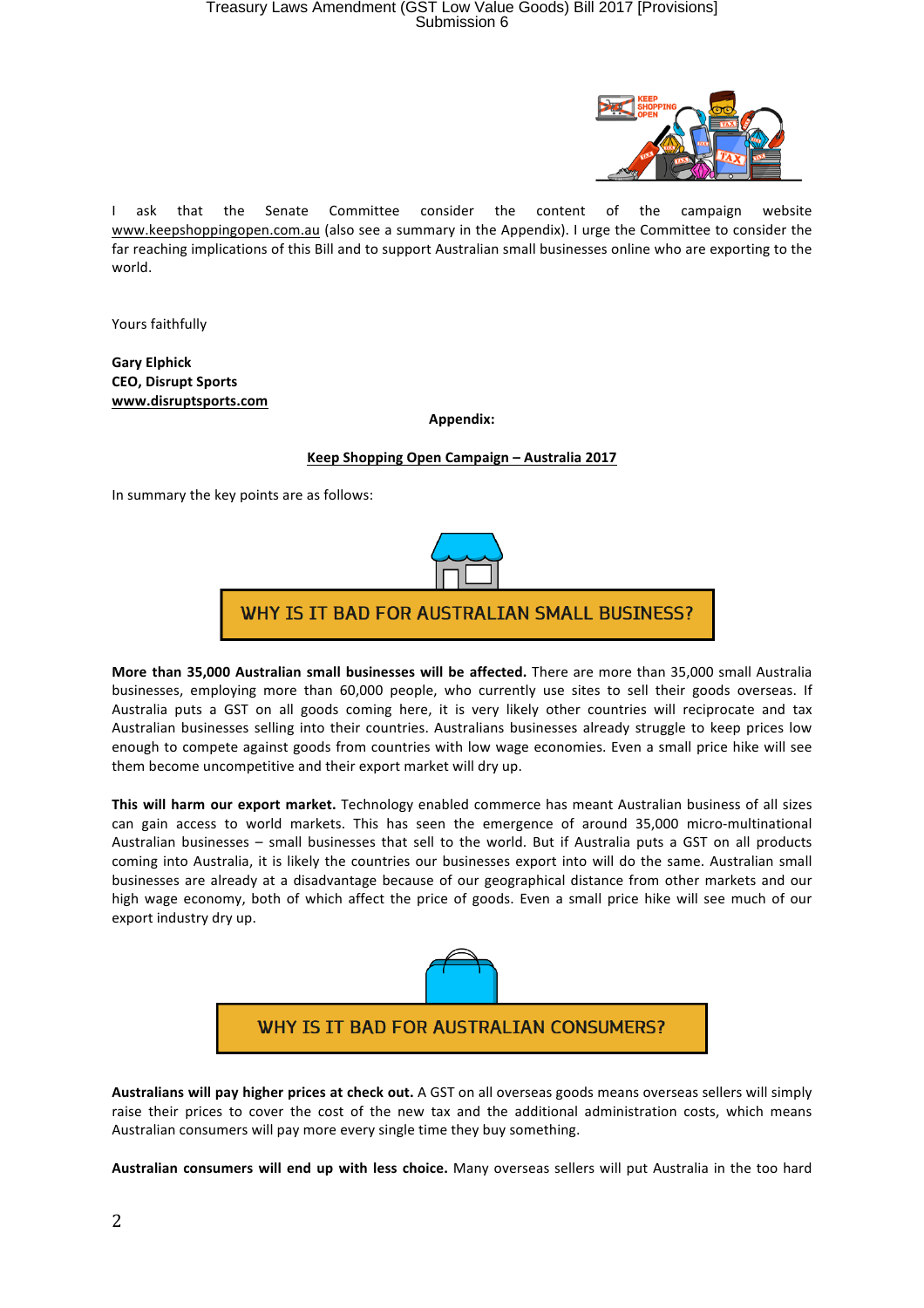

I ask that the Senate Committee consider the content of the campaign website www.keepshoppingopen.com.au (also see a summary in the Appendix). I urge the Committee to consider the far reaching implications of this Bill and to support Australian small businesses online who are exporting to the world.

Yours faithfully

**Gary Elphick CEO, Disrupt Sports www.disruptsports.com**

**Appendix:**

## **Keep Shopping Open Campaign – Australia 2017**

In summary the key points are as follows:



**More than 35,000 Australian small businesses will be affected.** There are more than 35,000 small Australia businesses, employing more than 60,000 people, who currently use sites to sell their goods overseas. If Australia puts a GST on all goods coming here, it is very likely other countries will reciprocate and tax Australian businesses selling into their countries. Australians businesses already struggle to keep prices low enough to compete against goods from countries with low wage economies. Even a small price hike will see them become uncompetitive and their export market will dry up.

This will harm our export market. Technology enabled commerce has meant Australian business of all sizes can gain access to world markets. This has seen the emergence of around 35,000 micro-multinational Australian businesses - small businesses that sell to the world. But if Australia puts a GST on all products coming into Australia, it is likely the countries our businesses export into will do the same. Australian small businesses are already at a disadvantage because of our geographical distance from other markets and our high wage economy, both of which affect the price of goods. Even a small price hike will see much of our export industry dry up.



Australians will pay higher prices at check out. A GST on all overseas goods means overseas sellers will simply raise their prices to cover the cost of the new tax and the additional administration costs, which means Australian consumers will pay more every single time they buy something.

**Australian consumers will end up with less choice.** Many overseas sellers will put Australia in the too hard